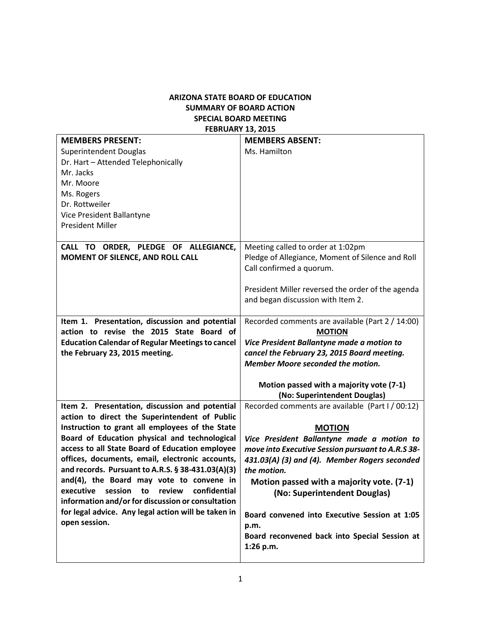## **ARIZONA STATE BOARD OF EDUCATION SUMMARY OF BOARD ACTION SPECIAL BOARD MEETING FEBRUARY 13, 2015**

| <b>MEMBERS PRESENT:</b>                                 | <b>MEMBERS ABSENT:</b>                            |
|---------------------------------------------------------|---------------------------------------------------|
| <b>Superintendent Douglas</b>                           | Ms. Hamilton                                      |
| Dr. Hart - Attended Telephonically                      |                                                   |
| Mr. Jacks                                               |                                                   |
| Mr. Moore                                               |                                                   |
| Ms. Rogers                                              |                                                   |
| Dr. Rottweiler                                          |                                                   |
| Vice President Ballantyne                               |                                                   |
| <b>President Miller</b>                                 |                                                   |
|                                                         |                                                   |
| CALL TO ORDER, PLEDGE OF ALLEGIANCE,                    | Meeting called to order at 1:02pm                 |
| MOMENT OF SILENCE, AND ROLL CALL                        | Pledge of Allegiance, Moment of Silence and Roll  |
|                                                         | Call confirmed a quorum.                          |
|                                                         |                                                   |
|                                                         | President Miller reversed the order of the agenda |
|                                                         | and began discussion with Item 2.                 |
|                                                         |                                                   |
| Item 1. Presentation, discussion and potential          | Recorded comments are available (Part 2 / 14:00)  |
| action to revise the 2015 State Board of                | <b>MOTION</b>                                     |
| <b>Education Calendar of Regular Meetings to cancel</b> | Vice President Ballantyne made a motion to        |
|                                                         |                                                   |
| the February 23, 2015 meeting.                          | cancel the February 23, 2015 Board meeting.       |
|                                                         | Member Moore seconded the motion.                 |
|                                                         |                                                   |
|                                                         | Motion passed with a majority vote (7-1)          |
|                                                         | (No: Superintendent Douglas)                      |
| Item 2. Presentation, discussion and potential          | Recorded comments are available (Part I / 00:12)  |
| action to direct the Superintendent of Public           |                                                   |
| Instruction to grant all employees of the State         | <b>MOTION</b>                                     |
| Board of Education physical and technological           | Vice President Ballantyne made a motion to        |
| access to all State Board of Education employee         | move into Executive Session pursuant to A.R.S 38- |
| offices, documents, email, electronic accounts,         | 431.03(A) (3) and (4). Member Rogers seconded     |
| and records. Pursuant to A.R.S. § 38-431.03(A)(3)       | the motion.                                       |
| and(4), the Board may vote to convene in                | Motion passed with a majority vote. (7-1)         |
| confidential<br>executive<br>session<br>review<br>to    | (No: Superintendent Douglas)                      |
| information and/or for discussion or consultation       |                                                   |
| for legal advice. Any legal action will be taken in     | Board convened into Executive Session at 1:05     |
| open session.                                           | p.m.                                              |
|                                                         | Board reconvened back into Special Session at     |
|                                                         | 1:26 p.m.                                         |